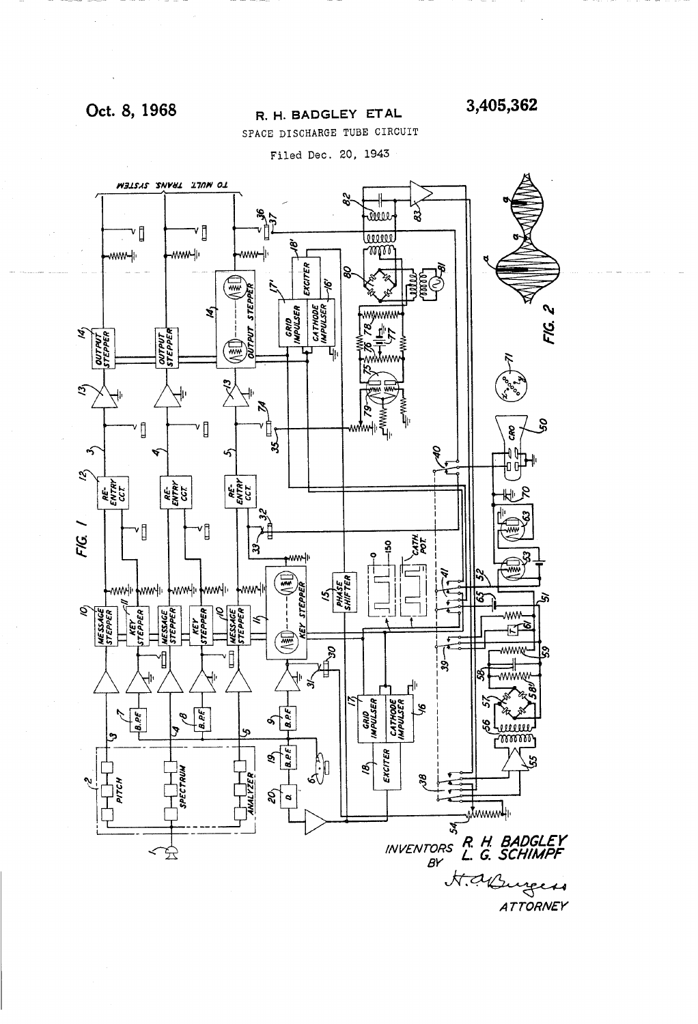## Oct. 8, 1968

### R. H. BADGLEY ETAL

3,405,362

SPACE DISCHARGE TUBE CIRCUIT

Filed Dec. 20, 1943

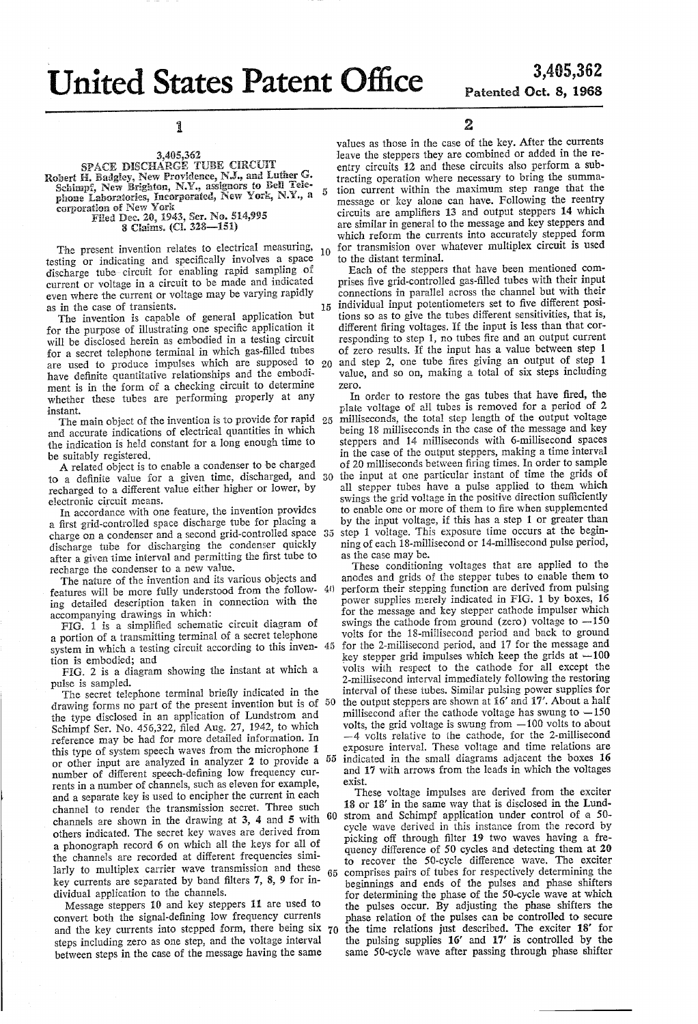**United States Patent Office** 

l

3,405,562<br>SPACE DISCHARGE TUBE CIRCUIT Robert H. Badgley, New Providence, N.J., and Luther G.<br>Schimpf, New Brighton, N.Y., assignors to Bell Telephone Laboratories, Incorporated, New York, N.Y., a<br>corporation of New York

Filed Dec. 20, 1943, Ser. No. 514,995 8 Claims. (Ci. 328-151)

The present invention relates to electrical measuring,  $_{10}$ testing or indicating and specilically involves a space discharge tube-circuit for enabling rapid sampling of current or voltage in a circuit to be made and indicated even where the current or voltage may be varying rapidly as in the case of transients.

The invention is capable of general application but for the purpose of illustrating one specific application it will be disclosed herein as embodied in a testing circuit for a secret telephone terminal in which gas-filled tubes for a secret telephone terminal in which gas-filled tubes<br>are used to produce impulses which are supposed to 20 have definite quantitative relationships and the embodi ment is in the form of a checking circuit to determine whether these tubes are performing properly at any instant.

The main object of the invention is to provide for rapid 25 and accurate indications of electrical quantities in which the indication is held constant for a long enough time to be suitably registered,

A related object is to enable a condenser to be charged to a definite value for a given time, discharged, and 30 recharged to a different value either higher or lower, by

electronic circuit means. In accordance with one feature, the invention provides a first ygrid-controlled space discharge tube for placing a charge on a condenser and a second grid-controlled space discharge tube for discharging the condenser quickly after a given time interval and permitting the first tube to recharge the condenser to a new value.

The nature of the invention and its various objects and features will be more fully understood from the follow  $4()$ ing detailed description taken in connection with the accompanying drawings in which:

FIG. 1 is a simpliñed schematic circuit diagram of a portion of a transmitting terminal of a secret telephone system in which a testing circuit according to this inven tion is embodied; and

FlG. 2 is a diagram showing the instant at which a pulse is sampled.

The secret telephone terminal briefly indicated in the drawing forms no part of the present invention but is of the type disclosed in an application of Lundstrom and Schimpf Ser. No. 456,322, filed Aug. 27, 1942, to which reference may be had for more detailed information. In or other input are analyzed in analyzer 2 to provide a  $55$ number of different speech-defining low frequency currents in a number of channels, such as eleven for example, and a separate key is used to encipher the current in each channel to render the transmission secret. Three such channels are shown in the drawing at 3, 4 and 5 with others indicated. The secret key Waves are derived from a phonograph record 6 on which all the keys for all of the channels are recorded at different frequencies similarly to multiplex carrier wave transmission and these key currents are separated by band filters  $7, 8, 9$  for individual application to the channels. 50 60 65

Message steppers 10 and key steppers 11 are used to convert both the signal-defining low frequency currents and the key currents into stepped form, there being six 70 steps including zero as one step, and the voltage interval between steps in the case of the message having the same

values as those in the case of the key. After the currents leave the steppers they are combined or added in the reentry circuits 12 and these circuits also perform a subtracting operation where necessary to bring the summation current within the maximum step range that the message or key alone can have. Following the reentry circuits are ampliñers 13 and output Steppers 14 which are similar in general to the message and key steppers and which reform the currents into accurately stepped form for transmision over whatever multiplex circuit is used to the distant terminal.

Each of the steppers that have been mentioned comprises five grid-controlled gas-filled tubes with their input connections in parallel across the channel but with their 15 individual input potentiometers set to five different positions so as to give the tubes different sensitivities, that is, responding to step 1, no tubes fire and an output current of zero results. If the input has a value between step 1 and step 2, one tube fires giving an output of step 1 value, and so on, making a total of six steps including zero.

In order to restore the gas tubes that have fired, the plate voltage of all tubes is removed for a period of 2 milliseconds, the total step length of the output voltage being 18 milliseconds in the case of the message and key steppers and 14 milliseconds with 6-millisecond spaces in the case of the output steppers, making a time interval of 20 milliseconds between firing times. In order to sample the input at one particular instant of time the grids of all stepper tubes have a pulse applied to them which swings the grid voltage in the positive direction sufficiently to enable one or more of them to ñre when supplemented by the input voltage, if this has a step 1 or greater than step 1 voltage. This exposure time occurs at the beginning of each 18-millisecond or 14-millisecond pulse period, as the case may be.

These conditioning voltages that are applied to the anodes and grids of the stepper tubes to enable them to perform their stepping function are derived from pulsing power supplies merely indicated in FIG. 1 by boxes, 16 for the message and key stepper cathode impulser which swings the cathode from ground (zero) voltage to  $-150$ volts for the 18-millisecond period and back to ground for the Z-millisecond period, and 17 for the message and key stepper grid impulses which keep the grids at  $-100$ volts with respect to the cathode for all except the 2-millisecond interval immediately following the restoring interval of these tubes. Similar pulsing power supplies for the output steppers are shown at 16' and 17'. About a half millisecond after the cathode voltage has swung to  $-150$ volts, the grid voltage is swung from  $-100$  volts to about  $-4$  volts relative to the cathode, for the 2-millisecond exposure interval. These voltage and time relations are indicated in the small diagrams adjacent the boxes 16 and 17 with arrows from the leads in which the voltages exist.

These voltage impulses are derived from the exciter 13 or 18' in the same way that is disclosed in the Lund strom and Schimpf application under control of a 50 cycle wave derived in this instance from the record by picking off through filter 19 two waves having a frequency difference of 50 cycles and detecting them at 20 to recover the 50-cycle difference wave. The exciter comprises pairs of tubes for respectively determining the beginnings and ends of the pulses and phase Shifters for determining the phase of the 50-cycle wave at which the pulses occur. By adjusting the phase Shifters the phase relation of the pulses can be controlled to secure the time relations just described. The exciter 18' for the pulsing supplies 16' and 17' is controlled by the same 50-cycle wave after passing through phase shifter

2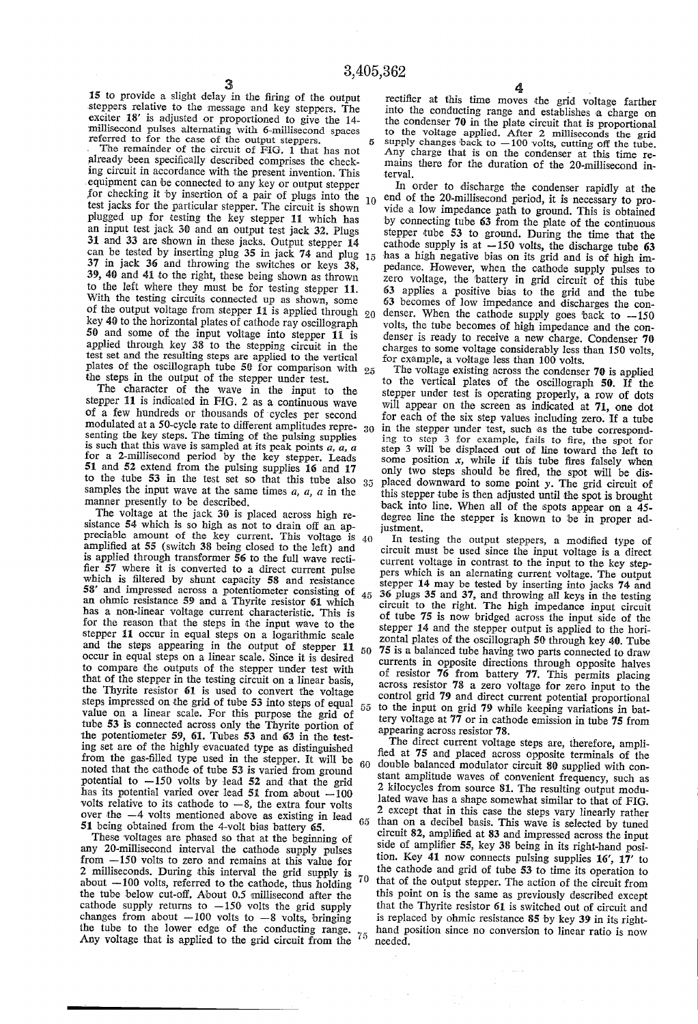15 to provide a slight delay in the tiring of the output steppers relative to the message and key steppers. The exciter 18' is adjusted or proportioned to give the 14 millisecond pulses alternating with 6-millisecond spaces referred to for the case of the output steppers.

The remainder of the circuit of FIG. 1 that has not already been specifically described comprises the checking circuit in accordance with the present invention. This equipment can be connected to any key or output stepper for checking it by insertion of a pair of plugs into the  $_{10}$ test jacks for the particular stepper. The circuit is shown plugged up for testing the key stepper 11 which has an input test jack 30 and an output test jack 32. Plugs 31 and 33 are shown in these jacks. Output stepper 14 can be tested by inserting plug 35 in jack 74 and plug  $15$ 37 in jack 36 and throwing the switches or keys 38, 39, 40 and 41 to the right, these being shown as thrown to the left where they must be for testing stepper 11. With the testing circuits connected up as shown, some of the output voltage from stepper 11 is applied through  $_{20}$ key 40 to the horizontal plates of cathode ray oscillograph 50 and some of the input voltage into stepper 11 is applied through key 38 to the stepping circuit in the test set and the resulting steps are applied to the vertical plates of the oscillograph tube 50 for comparison with  $_{25}$ the steps in the output of the stepper under test.

The character of the wave in the input to the stepper 11 is indicated in FIG. 2 as a continuous wave of a few hundreds or thousands of'cycles per second modulated at a 50-cycle rate to different amplitudes repre-  $_{30}$ senting the key steps. The timing of the pulsing supplies is such that this wave is sampled at its peak points  $a, a$ , a for a 2-millisecond period by the key stepper. Leads 51 and 52 extend from the pulsing supplies 16 and 17 to the tube 53 in the test set so that this tube also  $35$ samples the input wave at the same times  $a$ ,  $a$ ,  $a$  in the manner presently to be described.<br>The voltage at the jack 30 is placed across high re-

sistance 54 which is so high as not to drain off an appreciable amount of the key current. This voltage is  $40$ amplified at 55 (switch 38 being closed to the left) and is applied through transformer 56 to the full wave recti ñer 57 where it is converted to a direct current pulse which is filtered by shunt capacity 58 and resistance 5S' and impressed across a potentiometer consisting of an ohmic resistance 59 and a Thyrite resistor 61 which has a non-linear voltage current characteristic. This is for the reason that the steps in the input wave to the stepper 11 occur in equal steps on a logarithmic scale<br>and the steps appearing in the output of stepper 11 occur in equal steps on a linear scale. Since it is desired to compare the outputs of the stepper under test with that of the stepper in the testing circuit on a linear basis, the Thyrite resistor 61 is used to convert the voltage steps impressed on the grid of tube 53 into steps of equal value on a linear scale. For this purpose the grid of tube 53 is connected across only the Thyrite portion of the potentiometer 59, 61. Tubes 53 and 63 in the testing set are of the highly evacuated type as distinguished from the gas-filled type used in the stepper. It will be noted that the cathode of tube 53 is varied from ground potential to  $-150$  volts by lead 52 and that the grid has its potential varied over lead 51 from about  $-100$  volts relative to its cathode to  $-8$ , the extra four volts over the  $-4$  volts mentioned above as existing in lead  $65$ 51 being obtained from the 4-Volt bias battery 65. 60

These voltages are phased so that at the beginning of any ZO-millisecond interval the cathode supply pulses from -150 volts to zero and remains at this value for 2 milliseconds. During this interval the grid supply is about  $-100$  volts, referred to the cathode, thus holding the tube below cut-off. About 0.5 millisecond after the cathode supply returns to  $-150$  volts the grid supply changes from about  $-100$  volts to  $-8$  volts, bringing the tube to the lower edge of the conducting range.  $75$ <br>Any voltage that is applied to the grid circuit from the  $75$ Any voltage that is applied to the grid circuit from the 70

rectiñer at this time moves the grid voltage farther into the conducting range and establishes a charge on the condenser 70 in the plate circuit that is proportional to the voltage applied. After 2 milliseconds the grid supply changes back to  $-100$  volts, cutting off the tube. Any charge that is on the condenser at this time re mains there for the duration of the 20-millisecond in terval.

In order to discharge the condenser rapidly at the end of the 20-millisecond period, it is necessary to provide a low impedance path to ground. This is obtained 'by connecting tube 63 from the plate of the continuous stepper tube 53 to ground. During the time that the cathode supply is at  $-150$  volts, the discharge tube 63 has a high negative bias on its grid and is of high im pedance. However, when the cathode supply pulses to zero voltage, the battery in grid circuit of this tube 63 applies a positive bias to the grid and the tube 63 becomes of low impedance and discharges the con denser. When the cathode supply goes back to  $-150$ volts, the tube becomes of high impedance and the condenser is ready to receive a new charge. Condenser  $70$ charges to some voltage considerably less than 150 volts, for example, a voltage less than 100 volts.

The voltage existing across the condenser 70 is applied to the vertical plates of the oscillograph 50. If the stepper under test is operating properly, a row of dots will appear on the screen as indicated at 71, one dot for each of the six step values including zero. If a tube in the stepper under test, such as the tube corresponding to step 3 for example, fails to ñre, the spot for step 3 will 'be displaced out of line toward the left to some position  $x$ , while if this tube fires falsely when only two steps should be tired, the spot will be dis placed downward to some point y. The grid circuit of this stepper tube is then adjusted until the spot is brought back into line. When all of the spots appear on a 45 degree line the stepper is known to be in proper adiustment.

In testing the output Steppers, a modified type of circuit must be used since the input voltage is a direct current voltage in contrast to the input to the key step pers Which is an alernating current voltage. The output stepper 14 may be tested by inserting into jacks 74 and 45 36 plugs 35 and 37, and throwing all keys in the testing circuit to the right. The high impedance input circuit of tube 75 is now bridged across the input side of the stepper 14 and the stepper output is applied to the hori zontal plates of the oscillograph 50 through key 40. Tube 75 is a balanced tube having two parts connected to draw 50 currents in opposite directions through opposite halves of resistor 76 from battery 77. This permits placing across resistor 78 a zero voltage for zero input to the control grid 79 and direct current potential proportional to the input on grid 79 while keeping variations in bat tery voltage at 77 or in cathode emission in tube 75 from appearing across resistor 78. \_

The direct current voltage steps are, therefore, amplified at 75 and placed across opposite terminals of the double balanced modulator circuit 80 supplied with constant amplitude waves of convenient frequency, such as 2 kilocycles from source 81. The resulting output modu lated Wave has a shape somewhat similar to that of FIG. 2 except that in this case the steps vary linearly rather than on a decibel basis. This wave is selected by tuned circuit 82, ampliñed at 83 and impressed across the input side of amplifier 55, key 38 being in its right-hand posi tion. Key 41 now connects pulsing supplies 16', 17' to the cathode and grid of tube 53 to time its operation to that of the output stepper. The action of the circuit from this point on is the same as previously described except that the Thyrite resistor 61 is switched out of circuit and is replaced by ohmic resistance S5 by key 39 in its right hand position since no conversion to linear ratio is now needed.